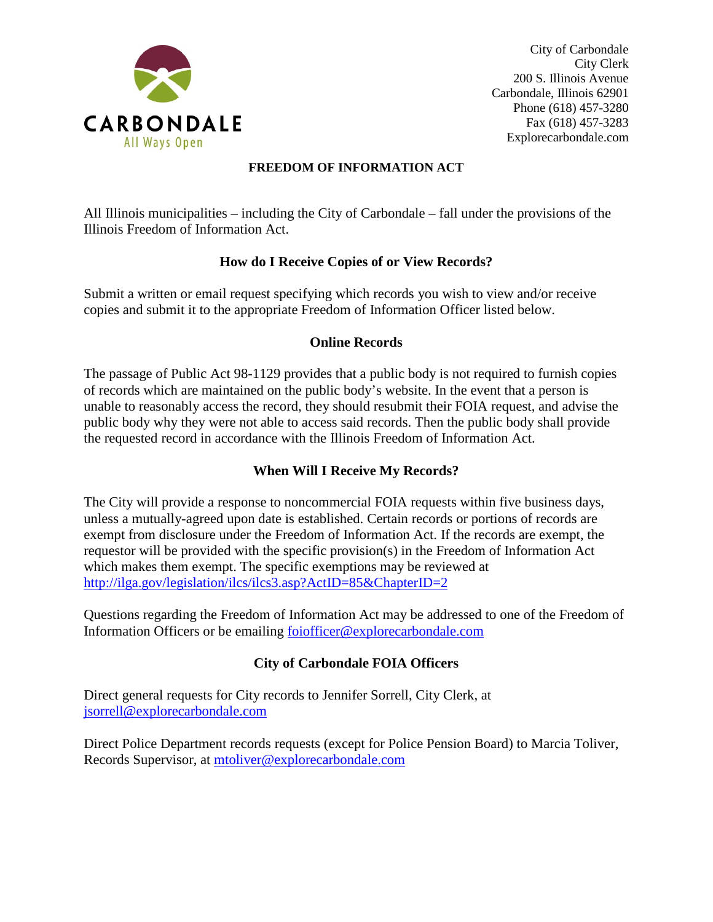

City of Carbondale City Clerk 200 S. Illinois Avenue Carbondale, Illinois 62901 Phone (618) 457-3280 Fax (618) 457-3283 Explorecarbondale.com

#### **FREEDOM OF INFORMATION ACT**

All Illinois municipalities – including the City of Carbondale – fall under the provisions of the Illinois Freedom of Information Act.

#### **How do I Receive Copies of or View Records?**

Submit a written or email request specifying which records you wish to view and/or receive copies and submit it to the appropriate Freedom of Information Officer listed below.

#### **Online Records**

The passage of Public Act 98-1129 provides that a public body is not required to furnish copies of records which are maintained on the public body's website. In the event that a person is unable to reasonably access the record, they should resubmit their FOIA request, and advise the public body why they were not able to access said records. Then the public body shall provide the requested record in accordance with the Illinois Freedom of Information Act.

# **When Will I Receive My Records?**

The City will provide a response to noncommercial FOIA requests within five business days, unless a mutually-agreed upon date is established. Certain records or portions of records are exempt from disclosure under the Freedom of Information Act. If the records are exempt, the requestor will be provided with the specific provision(s) in the Freedom of Information Act which makes them exempt. The specific exemptions may be reviewed at <http://ilga.gov/legislation/ilcs/ilcs3.asp?ActID=85&ChapterID=2>

Questions regarding the Freedom of Information Act may be addressed to one of the Freedom of Information Officers or be emailing foiofficer@explorecarbondale.com

# **City of Carbondale FOIA Officers**

Direct general requests for City records to Jennifer Sorrell, City Clerk, at jsorrell@explorecarbondale.com

Direct Police Department records requests (except for Police Pension Board) to Marcia Toliver, Records Supervisor, at mtoliver@explorecarbondale.com